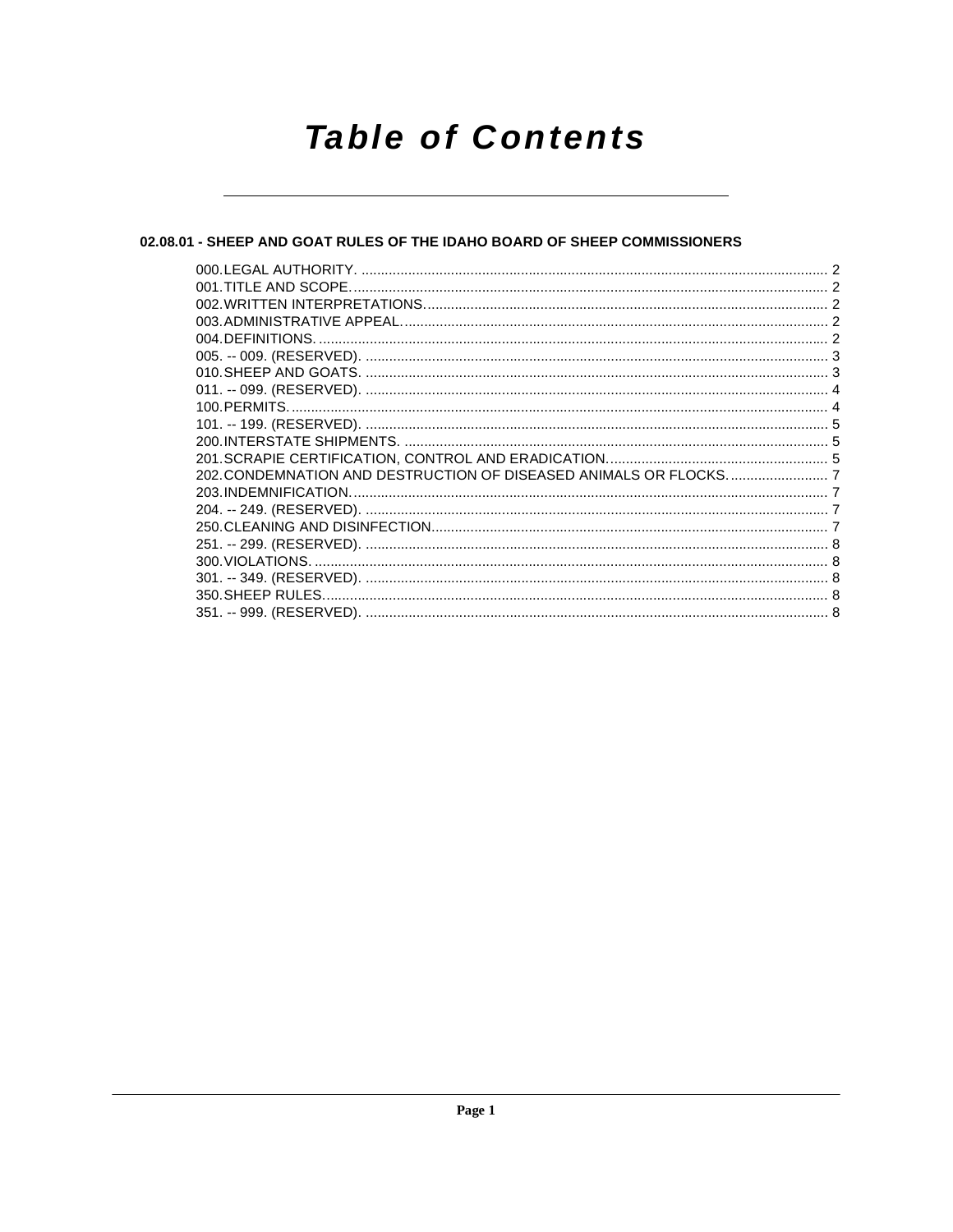# **Table of Contents**

# 02.08.01 - SHEEP AND GOAT RULES OF THE IDAHO BOARD OF SHEEP COMMISSIONERS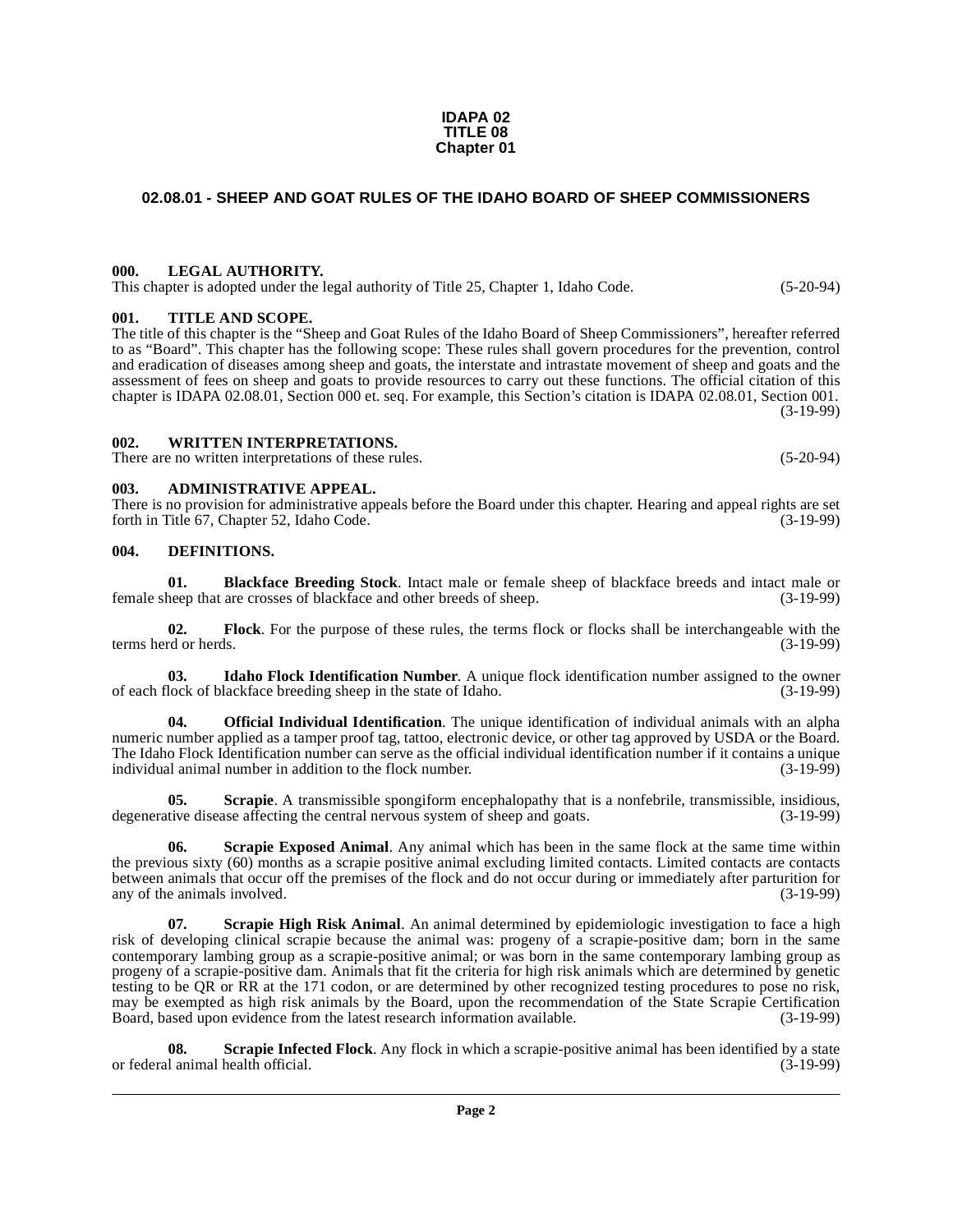#### **IDAPA 02 TITLE 08 Chapter 01**

# <span id="page-1-0"></span>**02.08.01 - SHEEP AND GOAT RULES OF THE IDAHO BOARD OF SHEEP COMMISSIONERS**

#### <span id="page-1-1"></span>**000. LEGAL AUTHORITY.**

This chapter is adopted under the legal authority of Title 25, Chapter 1, Idaho Code. (5-20-94)

#### <span id="page-1-2"></span>**001. TITLE AND SCOPE.**

The title of this chapter is the "Sheep and Goat Rules of the Idaho Board of Sheep Commissioners", hereafter referred to as "Board". This chapter has the following scope: These rules shall govern procedures for the prevention, control and eradication of diseases among sheep and goats, the interstate and intrastate movement of sheep and goats and the assessment of fees on sheep and goats to provide resources to carry out these functions. The official citation of this chapter is IDAPA 02.08.01, Section 000 et. seq. For example, this Section's citation is IDAPA 02.08.01, Section 001. (3-19-99)

#### <span id="page-1-3"></span>**002. WRITTEN INTERPRETATIONS.**

There are no written interpretations of these rules. (5-20-94)

#### <span id="page-1-4"></span>**003. ADMINISTRATIVE APPEAL.**

There is no provision for administrative appeals before the Board under this chapter. Hearing and appeal rights are set forth in Title 67, Chapter 52, Idaho Code. (3-19-99)

#### <span id="page-1-7"></span><span id="page-1-5"></span>**004. DEFINITIONS.**

<span id="page-1-6"></span>**01. Blackface Breeding Stock**. Intact male or female sheep of blackface breeds and intact male or neep that are crosses of blackface and other breeds of sheep. (3-19-99) female sheep that are crosses of blackface and other breeds of sheep.

<span id="page-1-8"></span>**02. Flock**. For the purpose of these rules, the terms flock or flocks shall be interchangeable with the terms herd or herds. (3-19-99)

<span id="page-1-9"></span>**03.** Idaho Flock Identification Number. A unique flock identification number assigned to the owner lock of blackface breeding sheep in the state of Idaho. (3-19-99) of each flock of blackface breeding sheep in the state of Idaho.

<span id="page-1-10"></span>**04. Official Individual Identification**. The unique identification of individual animals with an alpha numeric number applied as a tamper proof tag, tattoo, electronic device, or other tag approved by USDA or the Board. The Idaho Flock Identification number can serve as the official individual identification number if it contains a unique individual animal number in addition to the flock number. (3-19-99) individual animal number in addition to the flock number.

<span id="page-1-11"></span>**05.** Scrapie. A transmissible spongiform encephalopathy that is a nonfebrile, transmissible, insidious, degenerative disease affecting the central nervous system of sheep and goats. (3-19-99)

<span id="page-1-12"></span>**06.** Scrapie Exposed Animal. Any animal which has been in the same flock at the same time within the previous sixty (60) months as a scrapie positive animal excluding limited contacts. Limited contacts are contacts between animals that occur off the premises of the flock and do not occur during or immediately after parturition for any of the animals involved. (3-19-99)

<span id="page-1-13"></span>**07. Scrapie High Risk Animal**. An animal determined by epidemiologic investigation to face a high risk of developing clinical scrapie because the animal was: progeny of a scrapie-positive dam; born in the same contemporary lambing group as a scrapie-positive animal; or was born in the same contemporary lambing group as progeny of a scrapie-positive dam. Animals that fit the criteria for high risk animals which are determined by genetic testing to be QR or RR at the 171 codon, or are determined by other recognized testing procedures to pose no risk, may be exempted as high risk animals by the Board, upon the recommendation of the State Scrapie Certification Board, based upon evidence from the latest research information available. (3-19-99) Board, based upon evidence from the latest research information available.

<span id="page-1-14"></span>**08. Scrapie Infected Flock**. Any flock in which a scrapie-positive animal has been identified by a state or federal animal health official. (3-19-99)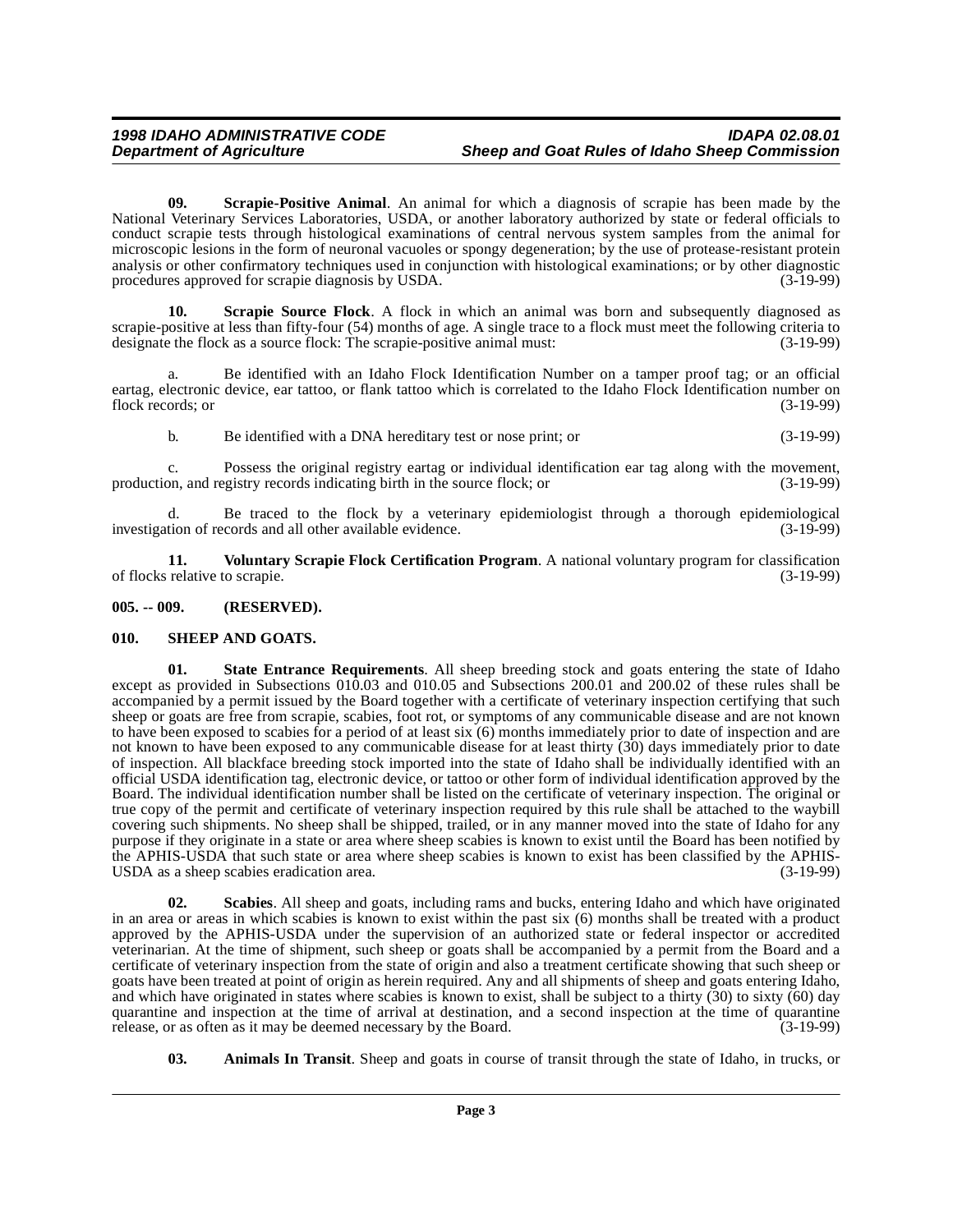<span id="page-2-5"></span>**09. Scrapie-Positive Animal**. An animal for which a diagnosis of scrapie has been made by the National Veterinary Services Laboratories, USDA, or another laboratory authorized by state or federal officials to conduct scrapie tests through histological examinations of central nervous system samples from the animal for microscopic lesions in the form of neuronal vacuoles or spongy degeneration; by the use of protease-resistant protein analysis or other confirmatory techniques used in conjunction with histological examinations; or by other diagnostic procedures approved for scrapie diagnosis by USDA. (3-19-99) procedures approved for scrapie diagnosis by USDA.

<span id="page-2-4"></span>**10. Scrapie Source Flock**. A flock in which an animal was born and subsequently diagnosed as scrapie-positive at less than fifty-four (54) months of age. A single trace to a flock must meet the following criteria to designate the flock as a source flock: The scrapie-positive animal must: (3-19-99)

a. Be identified with an Idaho Flock Identification Number on a tamper proof tag; or an official eartag, electronic device, ear tattoo, or flank tattoo which is correlated to the Idaho Flock Identification number on flock records; or (3-19-99)

b. Be identified with a DNA hereditary test or nose print; or (3-19-99)

c. Possess the original registry eartag or individual identification ear tag along with the movement, production, and registry records indicating birth in the source flock; or (3-19-99)

d. Be traced to the flock by a veterinary epidemiologist through a thorough epidemiological tion of records and all other available evidence. (3-19-99) investigation of records and all other available evidence.

<span id="page-2-8"></span>**11. Voluntary Scrapie Flock Certification Program**. A national voluntary program for classification relative to scrapie. (3-19-99) of flocks relative to scrapie.

#### <span id="page-2-0"></span>**005. -- 009. (RESERVED).**

#### <span id="page-2-6"></span><span id="page-2-1"></span>**010. SHEEP AND GOATS.**

<span id="page-2-7"></span>**01. State Entrance Requirements**. All sheep breeding stock and goats entering the state of Idaho except as provided in Subsections 010.03 and 010.05 and Subsections 200.01 and 200.02 of these rules shall be accompanied by a permit issued by the Board together with a certificate of veterinary inspection certifying that such sheep or goats are free from scrapie, scabies, foot rot, or symptoms of any communicable disease and are not known to have been exposed to scabies for a period of at least six (6) months immediately prior to date of inspection and are not known to have been exposed to any communicable disease for at least thirty (30) days immediately prior to date of inspection. All blackface breeding stock imported into the state of Idaho shall be individually identified with an official USDA identification tag, electronic device, or tattoo or other form of individual identification approved by the Board. The individual identification number shall be listed on the certificate of veterinary inspection. The original or true copy of the permit and certificate of veterinary inspection required by this rule shall be attached to the waybill covering such shipments. No sheep shall be shipped, trailed, or in any manner moved into the state of Idaho for any purpose if they originate in a state or area where sheep scabies is known to exist until the Board has been notified by the APHIS-USDA that such state or area where sheep scabies is known to exist has been classified by the APHIS-<br>USDA as a sheep scabies eradication area. (3-19-99) USDA as a sheep scabies eradication area.

<span id="page-2-3"></span>**02. Scabies**. All sheep and goats, including rams and bucks, entering Idaho and which have originated in an area or areas in which scabies is known to exist within the past six (6) months shall be treated with a product approved by the APHIS-USDA under the supervision of an authorized state or federal inspector or accredited veterinarian. At the time of shipment, such sheep or goats shall be accompanied by a permit from the Board and a certificate of veterinary inspection from the state of origin and also a treatment certificate showing that such sheep or goats have been treated at point of origin as herein required. Any and all shipments of sheep and goats entering Idaho, and which have originated in states where scabies is known to exist, shall be subject to a thirty  $(30)$  to sixty  $(60)$  day quarantine and inspection at the time of arrival at destination, and a second inspection at the time of quarantine release, or as often as it may be deemed necessary by the Board. (3-19-99) release, or as often as it may be deemed necessary by the Board.

<span id="page-2-2"></span>**03. Animals In Transit**. Sheep and goats in course of transit through the state of Idaho, in trucks, or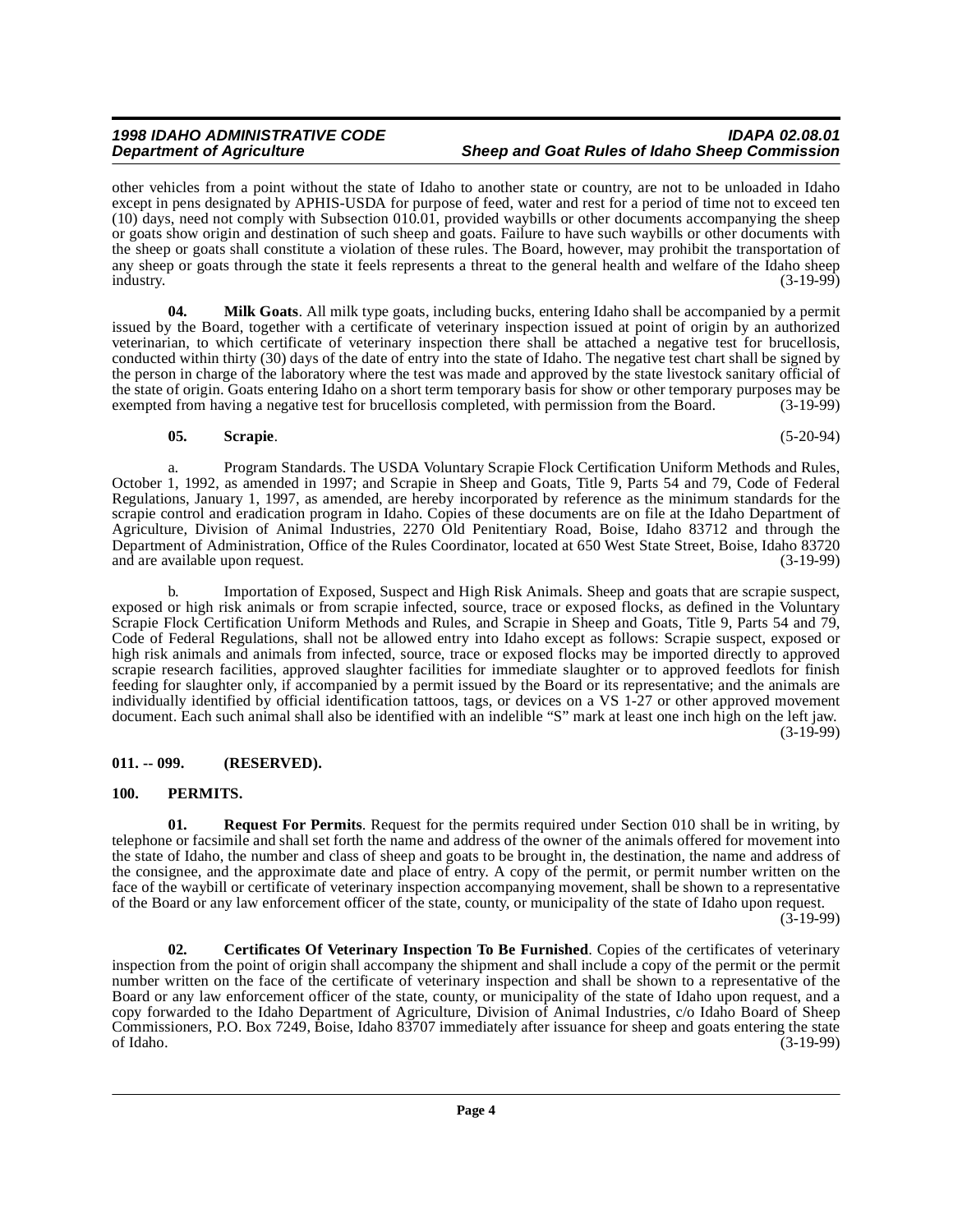#### **1998 IDAHO ADMINISTRATIVE CODE IDAPA 02.08.01 Sheep and Goat Rules of Idaho Sheep Commission**

other vehicles from a point without the state of Idaho to another state or country, are not to be unloaded in Idaho except in pens designated by APHIS-USDA for purpose of feed, water and rest for a period of time not to exceed ten (10) days, need not comply with Subsection 010.01, provided waybills or other documents accompanying the sheep or goats show origin and destination of such sheep and goats. Failure to have such waybills or other documents with the sheep or goats shall constitute a violation of these rules. The Board, however, may prohibit the transportation of any sheep or goats through the state it feels represents a threat to the general health and welfare of the Idaho sheep industry. (3-19-99) industry. (3-19-99)

<span id="page-3-3"></span>**04. Milk Goats**. All milk type goats, including bucks, entering Idaho shall be accompanied by a permit issued by the Board, together with a certificate of veterinary inspection issued at point of origin by an authorized veterinarian, to which certificate of veterinary inspection there shall be attached a negative test for brucellosis, conducted within thirty (30) days of the date of entry into the state of Idaho. The negative test chart shall be signed by the person in charge of the laboratory where the test was made and approved by the state livestock sanitary official of the state of origin. Goats entering Idaho on a short term temporary basis for show or other temporary purposes may be exempted from having a negative test for brucellosis completed, with permission from the Board. (3-19-99)

## <span id="page-3-7"></span><span id="page-3-5"></span>**05. Scrapie**. (5-20-94)

a. Program Standards. The USDA Voluntary Scrapie Flock Certification Uniform Methods and Rules, October 1, 1992, as amended in 1997; and Scrapie in Sheep and Goats, Title 9, Parts 54 and 79, Code of Federal Regulations, January 1, 1997, as amended, are hereby incorporated by reference as the minimum standards for the scrapie control and eradication program in Idaho. Copies of these documents are on file at the Idaho Department of Agriculture, Division of Animal Industries, 2270 Old Penitentiary Road, Boise, Idaho 83712 and through the Department of Administration, Office of the Rules Coordinator, located at 650 West State Street, Boise, Idaho 83720 and are available upon request. (3-19-99)

b. Importation of Exposed, Suspect and High Risk Animals. Sheep and goats that are scrapie suspect, exposed or high risk animals or from scrapie infected, source, trace or exposed flocks, as defined in the Voluntary Scrapie Flock Certification Uniform Methods and Rules, and Scrapie in Sheep and Goats, Title 9, Parts 54 and 79, Code of Federal Regulations, shall not be allowed entry into Idaho except as follows: Scrapie suspect, exposed or high risk animals and animals from infected, source, trace or exposed flocks may be imported directly to approved scrapie research facilities, approved slaughter facilities for immediate slaughter or to approved feedlots for finish feeding for slaughter only, if accompanied by a permit issued by the Board or its representative; and the animals are individually identified by official identification tattoos, tags, or devices on a VS 1-27 or other approved movement document. Each such animal shall also be identified with an indelible "S" mark at least one inch high on the left jaw. (3-19-99)

# <span id="page-3-0"></span>**011. -- 099. (RESERVED).**

# <span id="page-3-4"></span><span id="page-3-1"></span>**100. PERMITS.**

<span id="page-3-6"></span>**01. Request For Permits**. Request for the permits required under Section 010 shall be in writing, by telephone or facsimile and shall set forth the name and address of the owner of the animals offered for movement into the state of Idaho, the number and class of sheep and goats to be brought in, the destination, the name and address of the consignee, and the approximate date and place of entry. A copy of the permit, or permit number written on the face of the waybill or certificate of veterinary inspection accompanying movement, shall be shown to a representative of the Board or any law enforcement officer of the state, county, or municipality of the state of Idaho upon request.

(3-19-99)

<span id="page-3-2"></span>**02. Certificates Of Veterinary Inspection To Be Furnished**. Copies of the certificates of veterinary inspection from the point of origin shall accompany the shipment and shall include a copy of the permit or the permit number written on the face of the certificate of veterinary inspection and shall be shown to a representative of the Board or any law enforcement officer of the state, county, or municipality of the state of Idaho upon request, and a copy forwarded to the Idaho Department of Agriculture, Division of Animal Industries, c/o Idaho Board of Sheep Commissioners, P.O. Box 7249, Boise, Idaho 83707 immediately after issuance for sheep and goats entering the state of Idaho. (3-19-99) of Idaho. (3-19-99)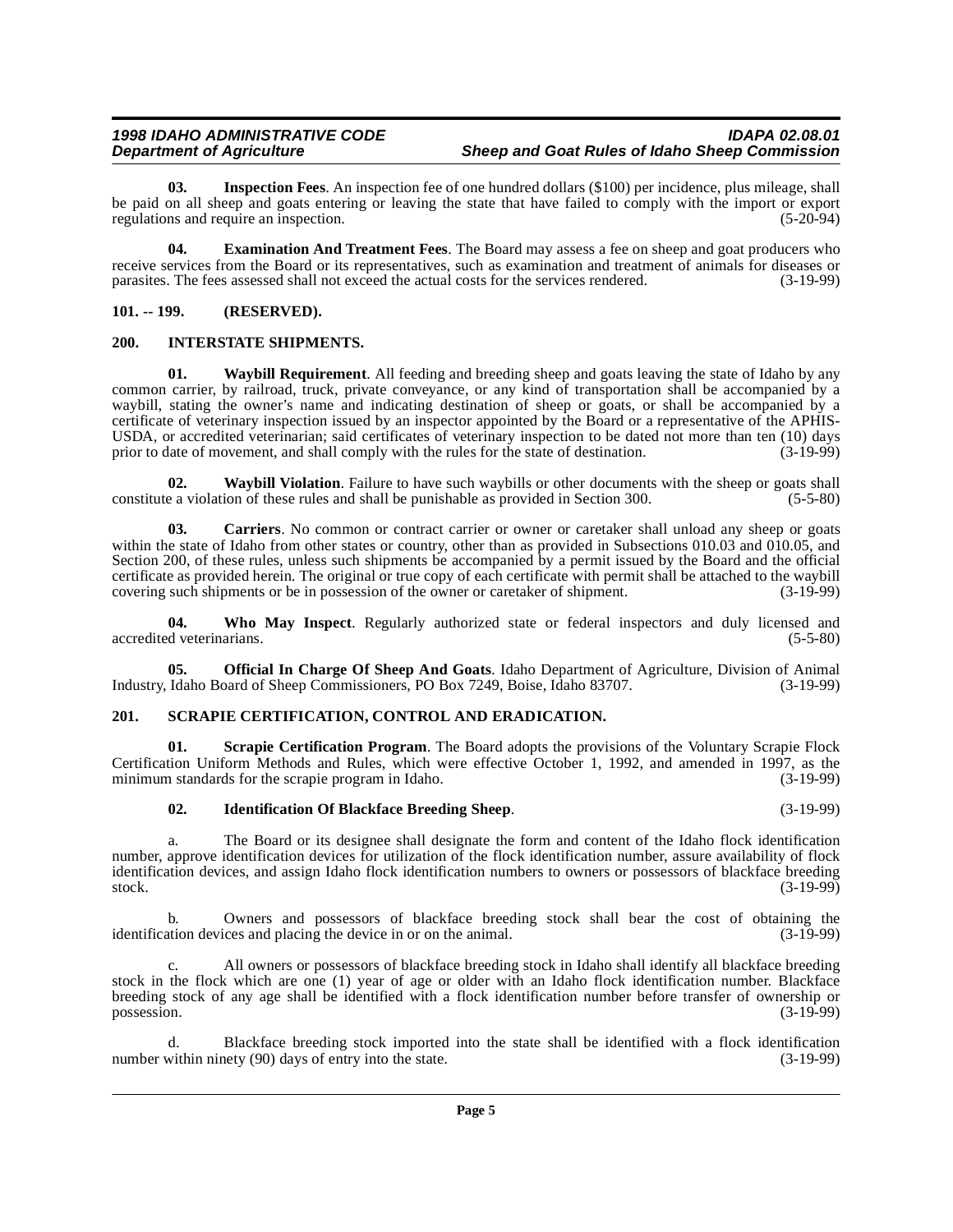#### **1998 IDAHO ADMINISTRATIVE CODE IDAPA 02.08.01 Sheep and Goat Rules of Idaho Sheep Commission**

<span id="page-4-6"></span>**03. Inspection Fees**. An inspection fee of one hundred dollars (\$100) per incidence, plus mileage, shall be paid on all sheep and goats entering or leaving the state that have failed to comply with the import or export regulations and require an inspection. (5-20-94) regulations and require an inspection.

<span id="page-4-4"></span>**04. Examination And Treatment Fees**. The Board may assess a fee on sheep and goat producers who receive services from the Board or its representatives, such as examination and treatment of animals for diseases or<br>parasites. The fees assessed shall not exceed the actual costs for the services rendered. (3-19-99) parasites. The fees assessed shall not exceed the actual costs for the services rendered.

# <span id="page-4-0"></span>**101. -- 199. (RESERVED).**

# <span id="page-4-7"></span><span id="page-4-1"></span>**200. INTERSTATE SHIPMENTS.**

<span id="page-4-11"></span>**01. Waybill Requirement**. All feeding and breeding sheep and goats leaving the state of Idaho by any common carrier, by railroad, truck, private conveyance, or any kind of transportation shall be accompanied by a waybill, stating the owner's name and indicating destination of sheep or goats, or shall be accompanied by a certificate of veterinary inspection issued by an inspector appointed by the Board or a representative of the APHIS-USDA, or accredited veterinarian; said certificates of veterinary inspection to be dated not more than ten (10) days prior to date of movement, and shall comply with the rules for the state of destination.  $(3-19-99)$ prior to date of movement, and shall comply with the rules for the state of destination.

<span id="page-4-12"></span>**02. Waybill Violation**. Failure to have such waybills or other documents with the sheep or goats shall constitute a violation of these rules and shall be punishable as provided in Section 300. (5-5-80)

<span id="page-4-3"></span>**03. Carriers**. No common or contract carrier or owner or caretaker shall unload any sheep or goats within the state of Idaho from other states or country, other than as provided in Subsections 010.03 and 010.05, and Section 200, of these rules, unless such shipments be accompanied by a permit issued by the Board and the official certificate as provided herein. The original or true copy of each certificate with permit shall be attached to the waybill covering such shipments or be in possession of the owner or caretaker of shipment.

<span id="page-4-13"></span>**04. Who May Inspect**. Regularly authorized state or federal inspectors and duly licensed and accredited veterinarians. (5-5-80)

<span id="page-4-8"></span>**05. Official In Charge Of Sheep And Goats**. Idaho Department of Agriculture, Division of Animal Idaho Board of Sheep Commissioners, PO Box 7249, Boise, Idaho 83707. (3-19-99) Industry, Idaho Board of Sheep Commissioners, PO Box 7249, Boise, Idaho 83707.

## <span id="page-4-10"></span><span id="page-4-2"></span>**201. SCRAPIE CERTIFICATION, CONTROL AND ERADICATION.**

**01. Scrapie Certification Program**. The Board adopts the provisions of the Voluntary Scrapie Flock Certification Uniform Methods and Rules, which were effective October 1, 1992, and amended in 1997, as the minimum standards for the scrapie program in Idaho. (3-19-99) minimum standards for the scrapie program in Idaho.

## <span id="page-4-9"></span><span id="page-4-5"></span>**02. Identification Of Blackface Breeding Sheep**. (3-19-99)

a. The Board or its designee shall designate the form and content of the Idaho flock identification number, approve identification devices for utilization of the flock identification number, assure availability of flock identification devices, and assign Idaho flock identification numbers to owners or possessors of blackface breeding<br>(3-19-99) stock. (3-19-99)

Owners and possessors of blackface breeding stock shall bear the cost of obtaining the ices and placing the device in or on the animal. (3-19-99) identification devices and placing the device in or on the animal.

c. All owners or possessors of blackface breeding stock in Idaho shall identify all blackface breeding stock in the flock which are one (1) year of age or older with an Idaho flock identification number. Blackface breeding stock of any age shall be identified with a flock identification number before transfer of ownership or possession. (3-19-99)

Blackface breeding stock imported into the state shall be identified with a flock identification nety  $(90)$  days of entry into the state.  $(3-19-99)$ number within ninety (90) days of entry into the state.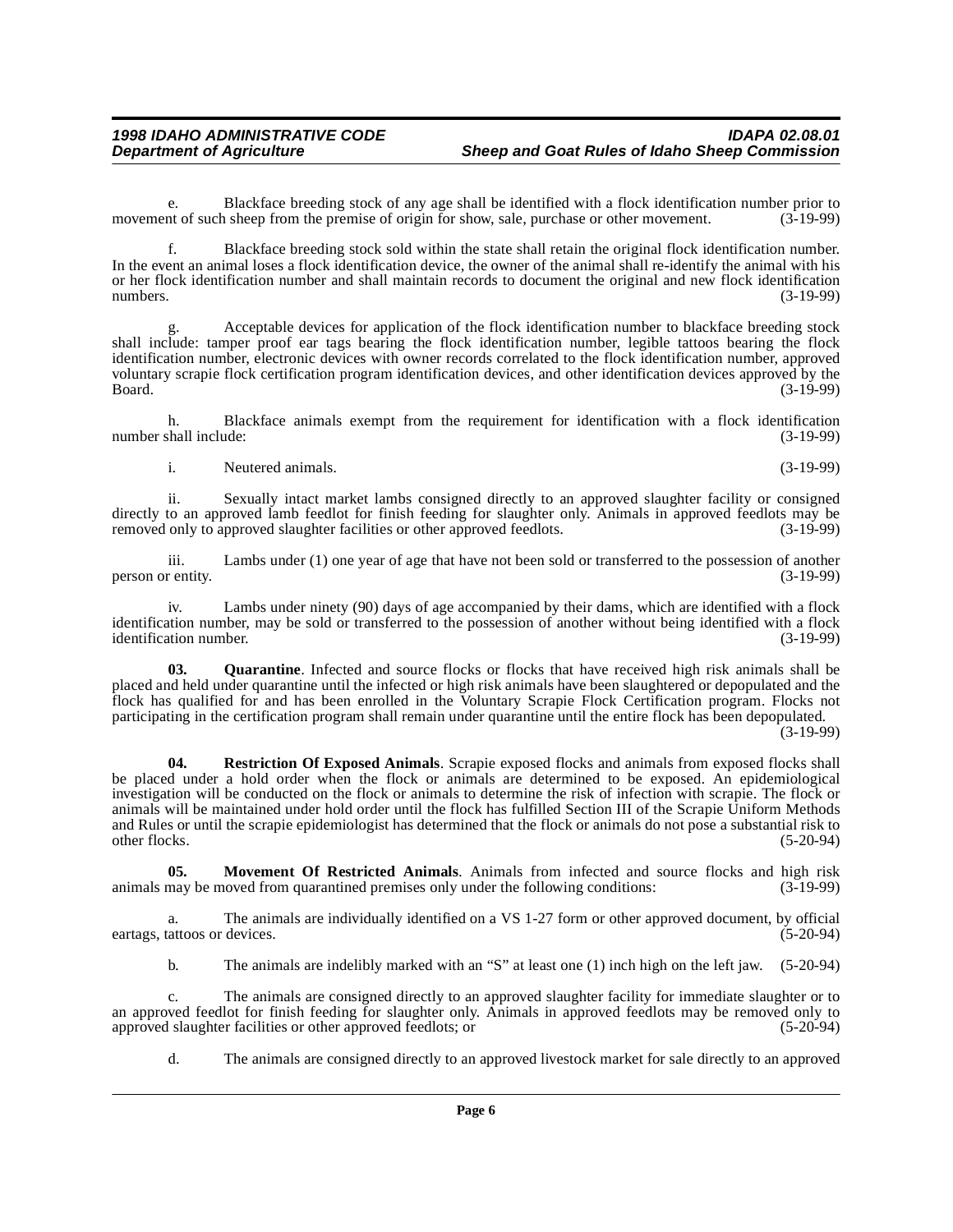e. Blackface breeding stock of any age shall be identified with a flock identification number prior to not of such sheep from the premise of origin for show, sale, purchase or other movement. (3-19-99) movement of such sheep from the premise of origin for show, sale, purchase or other movement.

f. Blackface breeding stock sold within the state shall retain the original flock identification number. In the event an animal loses a flock identification device, the owner of the animal shall re-identify the animal with his or her flock identification number and shall maintain records to document the original and new flock identification numbers.  $(3-19-99)$ 

Acceptable devices for application of the flock identification number to blackface breeding stock shall include: tamper proof ear tags bearing the flock identification number, legible tattoos bearing the flock identification number, electronic devices with owner records correlated to the flock identification number, approved voluntary scrapie flock certification program identification devices, and other identification devices approved by the Board. (3-19-99)

h. Blackface animals exempt from the requirement for identification with a flock identification number shall include:

i. Neutered animals. (3-19-99)

ii. Sexually intact market lambs consigned directly to an approved slaughter facility or consigned directly to an approved lamb feedlot for finish feeding for slaughter only. Animals in approved feedlots may be removed only to approved slaughter facilities or other approved feedlots. (3-19-99) removed only to approved slaughter facilities or other approved feedlots.

iii. Lambs under (1) one year of age that have not been sold or transferred to the possession of another r entity. (3-19-99) person or entity.

iv. Lambs under ninety (90) days of age accompanied by their dams, which are identified with a flock identification number, may be sold or transferred to the possession of another without being identified with a flock<br>(3-19-99) identification number.

<span id="page-5-1"></span>**03. Quarantine**. Infected and source flocks or flocks that have received high risk animals shall be placed and held under quarantine until the infected or high risk animals have been slaughtered or depopulated and the flock has qualified for and has been enrolled in the Voluntary Scrapie Flock Certification program. Flocks not participating in the certification program shall remain under quarantine until the entire flock has been depopulated. (3-19-99)

<span id="page-5-2"></span>**04. Restriction Of Exposed Animals**. Scrapie exposed flocks and animals from exposed flocks shall be placed under a hold order when the flock or animals are determined to be exposed. An epidemiological investigation will be conducted on the flock or animals to determine the risk of infection with scrapie. The flock or animals will be maintained under hold order until the flock has fulfilled Section III of the Scrapie Uniform Methods and Rules or until the scrapie epidemiologist has determined that the flock or animals do not pose a substantial risk to other flocks. (5-20-94)

<span id="page-5-0"></span>**05. Movement Of Restricted Animals**. Animals from infected and source flocks and high risk may be moved from quarantined premises only under the following conditions: (3-19-99) animals may be moved from quarantined premises only under the following conditions:

a. The animals are individually identified on a VS 1-27 form or other approved document, by official eartags, tattoos or devices. (5-20-94)

b. The animals are indelibly marked with an "S" at least one (1) inch high on the left jaw. (5-20-94)

c. The animals are consigned directly to an approved slaughter facility for immediate slaughter or to an approved feedlot for finish feeding for slaughter only. Animals in approved feedlots may be removed only to<br>approved slaughter facilities or other approved feedlots; or approved slaughter facilities or other approved feedlots; or

d. The animals are consigned directly to an approved livestock market for sale directly to an approved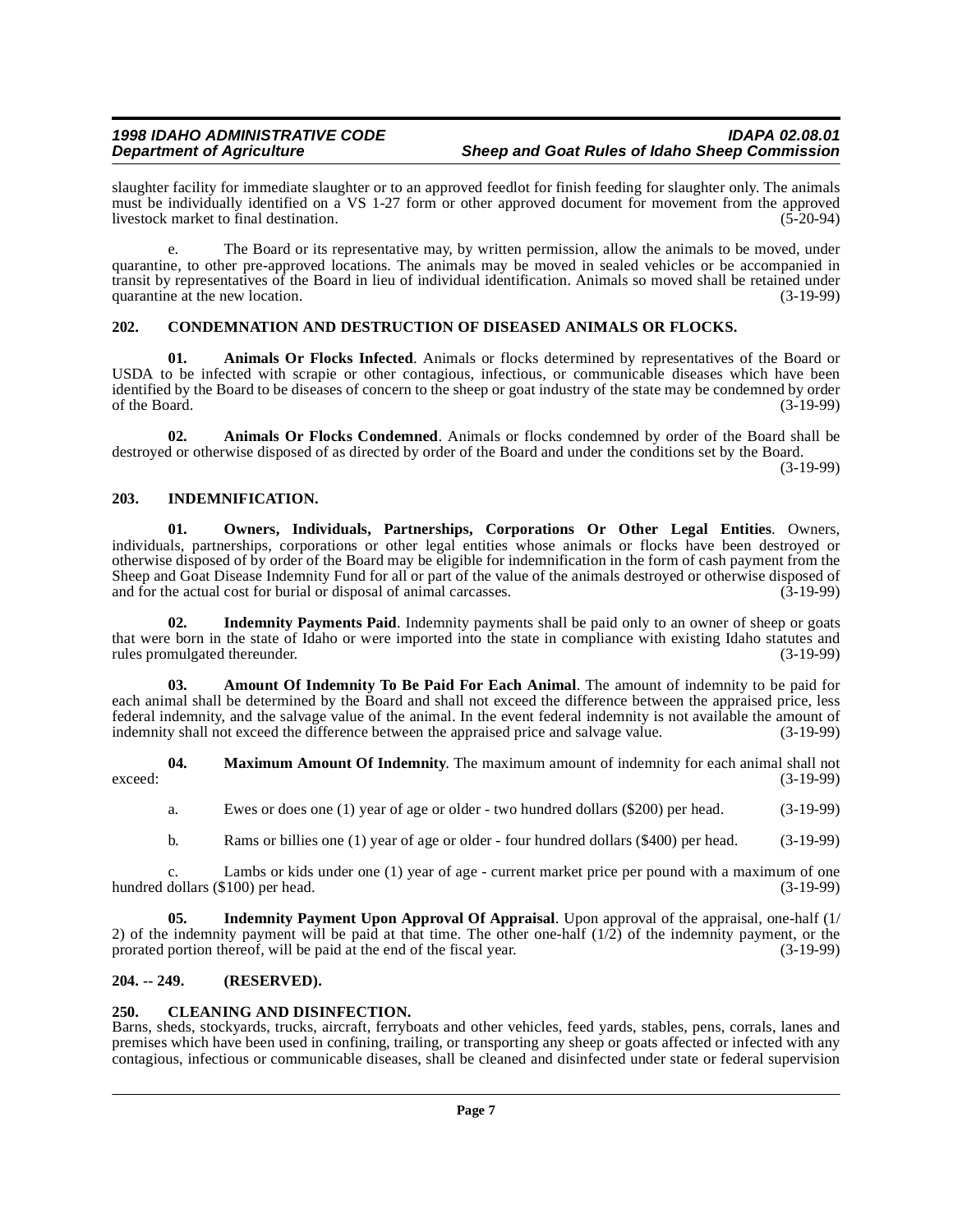#### **1998 IDAHO ADMINISTRATIVE CODE IDAPA 02.08.01 Sheep and Goat Rules of Idaho Sheep Commission**

slaughter facility for immediate slaughter or to an approved feedlot for finish feeding for slaughter only. The animals must be individually identified on a VS 1-27 form or other approved document for movement from the approved livestock market to final destination. livestock market to final destination.

e. The Board or its representative may, by written permission, allow the animals to be moved, under quarantine, to other pre-approved locations. The animals may be moved in sealed vehicles or be accompanied in transit by representatives of the Board in lieu of individual identification. Animals so moved shall be retained under quarantine at the new location. (3-19-99)

## <span id="page-6-8"></span><span id="page-6-0"></span>**202. CONDEMNATION AND DESTRUCTION OF DISEASED ANIMALS OR FLOCKS.**

<span id="page-6-6"></span>**01. Animals Or Flocks Infected**. Animals or flocks determined by representatives of the Board or USDA to be infected with scrapie or other contagious, infectious, or communicable diseases which have been identified by the Board to be diseases of concern to the sheep or goat industry of the state may be condemned by order of the Board.  $(3-19-99)$ 

<span id="page-6-5"></span>**02. Animals Or Flocks Condemned**. Animals or flocks condemned by order of the Board shall be destroyed or otherwise disposed of as directed by order of the Board and under the conditions set by the Board.

(3-19-99)

#### <span id="page-6-9"></span><span id="page-6-1"></span>**203. INDEMNIFICATION.**

<span id="page-6-13"></span>**01. Owners, Individuals, Partnerships, Corporations Or Other Legal Entities**. Owners, individuals, partnerships, corporations or other legal entities whose animals or flocks have been destroyed or otherwise disposed of by order of the Board may be eligible for indemnification in the form of cash payment from the Sheep and Goat Disease Indemnity Fund for all or part of the value of the animals destroyed or otherwise disposed of and for the actual cost for burial or disposal of animal carcasses. (3-19-99) and for the actual cost for burial or disposal of animal carcasses.

<span id="page-6-11"></span>**02. Indemnity Payments Paid**. Indemnity payments shall be paid only to an owner of sheep or goats that were born in the state of Idaho or were imported into the state in compliance with existing Idaho statutes and rules promulgated thereunder. (3-19-99) rules promulgated thereunder.

<span id="page-6-4"></span>**03. Amount Of Indemnity To Be Paid For Each Animal**. The amount of indemnity to be paid for each animal shall be determined by the Board and shall not exceed the difference between the appraised price, less federal indemnity, and the salvage value of the animal. In the event federal indemnity is not available the amount of indemnity shall not exceed the difference between the appraised price and salvage value.

**04. Maximum Amount Of Indemnity**. The maximum amount of indemnity for each animal shall not exceed: (3-19-99)

- <span id="page-6-12"></span>a. Ewes or does one (1) year of age or older - two hundred dollars (\$200) per head. (3-19-99)
- <span id="page-6-10"></span>b. Rams or billies one (1) year of age or older - four hundred dollars (\$400) per head. (3-19-99)

c. Lambs or kids under one (1) year of age - current market price per pound with a maximum of one hundred dollars  $(\$100)$  per head.

**05. Indemnity Payment Upon Approval Of Appraisal**. Upon approval of the appraisal, one-half (1/ 2) of the indemnity payment will be paid at that time. The other one-half  $(1/2)$  of the indemnity payment, or the prorated portion thereof, will be paid at the end of the fiscal year.  $(3-19-99)$ prorated portion thereof, will be paid at the end of the fiscal year.

#### <span id="page-6-2"></span>**204. -- 249. (RESERVED).**

#### <span id="page-6-7"></span><span id="page-6-3"></span>**250. CLEANING AND DISINFECTION.**

Barns, sheds, stockyards, trucks, aircraft, ferryboats and other vehicles, feed yards, stables, pens, corrals, lanes and premises which have been used in confining, trailing, or transporting any sheep or goats affected or infected with any contagious, infectious or communicable diseases, shall be cleaned and disinfected under state or federal supervision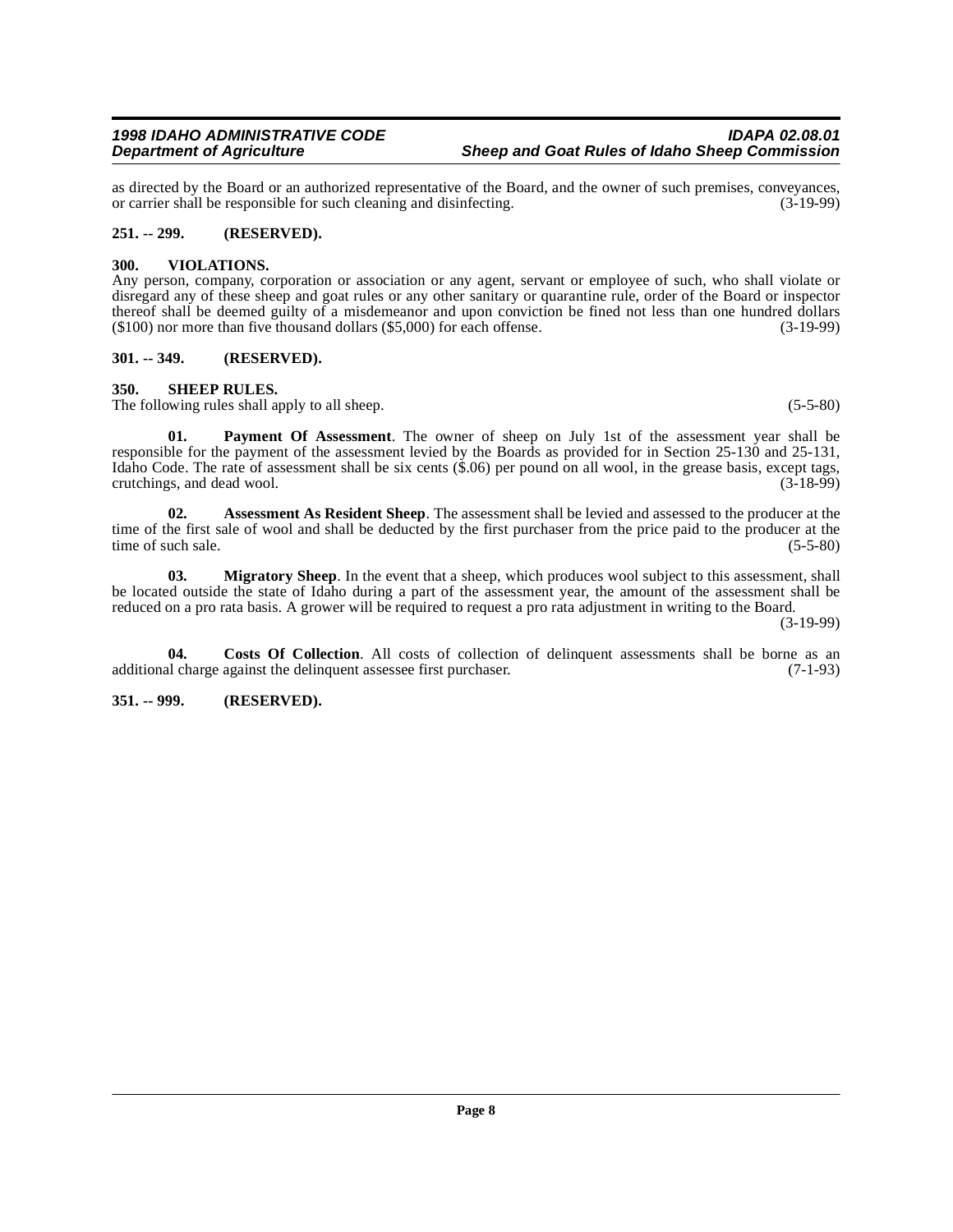as directed by the Board or an authorized representative of the Board, and the owner of such premises, conveyances, or carrier shall be responsible for such cleaning and disinfecting. (3-19-99) or carrier shall be responsible for such cleaning and disinfecting.

#### <span id="page-7-0"></span>**251. -- 299. (RESERVED).**

#### <span id="page-7-10"></span><span id="page-7-1"></span>**300. VIOLATIONS.**

Any person, company, corporation or association or any agent, servant or employee of such, who shall violate or disregard any of these sheep and goat rules or any other sanitary or quarantine rule, order of the Board or inspector thereof shall be deemed guilty of a misdemeanor and upon conviction be fined not less than one hundred dollars (\$100) nor more than five thousand dollars (\$5,000) for each offense. (3-19-99)

#### <span id="page-7-2"></span>**301. -- 349. (RESERVED).**

#### <span id="page-7-9"></span><span id="page-7-3"></span>**350. SHEEP RULES.**

The following rules shall apply to all sheep. (5-5-80)

<span id="page-7-8"></span>**01. Payment Of Assessment**. The owner of sheep on July 1st of the assessment year shall be responsible for the payment of the assessment levied by the Boards as provided for in Section 25-130 and 25-131, Idaho Code. The rate of assessment shall be six cents (\$.06) per pound on all wool, in the grease basis, except tags, crutchings, and dead wool. (3-18-99)

<span id="page-7-5"></span>**02. Assessment As Resident Sheep**. The assessment shall be levied and assessed to the producer at the time of the first sale of wool and shall be deducted by the first purchaser from the price paid to the producer at the time of such sale. (5-5-80)

<span id="page-7-7"></span>**03. Migratory Sheep**. In the event that a sheep, which produces wool subject to this assessment, shall be located outside the state of Idaho during a part of the assessment year, the amount of the assessment shall be reduced on a pro rata basis. A grower will be required to request a pro rata adjustment in writing to the Board.

(3-19-99)

<span id="page-7-6"></span>**04. Costs Of Collection**. All costs of collection of delinquent assessments shall be borne as an additional charge against the delinquent assessee first purchaser. (7-1-93)

## <span id="page-7-4"></span>**351. -- 999. (RESERVED).**